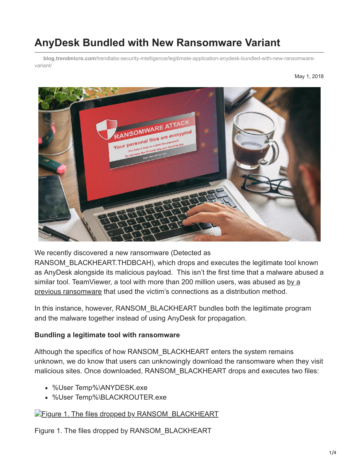# **AnyDesk Bundled with New Ransomware Variant**

**blog.trendmicro.com**[/trendlabs-security-intelligence/legitimate-application-anydesk-bundled-with-new-ransomware](https://blog.trendmicro.com/trendlabs-security-intelligence/legitimate-application-anydesk-bundled-with-new-ransomware-variant/)variant/



We recently discovered a new ransomware (Detected as

RANSOM\_BLACKHEART.THDBCAH), which drops and executes the legitimate tool known as AnyDesk alongside its malicious payload. This isn't the first time that a malware abused a [similar tool. TeamViewer, a tool with more than 200 million users, was abused as by a](https://www.bleepingcomputer.com/news/security/surprise-ransomware-installed-via-teamviewer-and-executes-from-memory/) previous ransomware that used the victim's connections as a distribution method.

In this instance, however, RANSOM BLACKHEART bundles both the legitimate program and the malware together instead of using AnyDesk for propagation.

#### **Bundling a legitimate tool with ransomware**

Although the specifics of how RANSOM\_BLACKHEART enters the system remains unknown, we do know that users can unknowingly download the ransomware when they visit malicious sites. Once downloaded, RANSOM\_BLACKHEART drops and executes two files:

- %User Temp%\ANYDESK.exe
- %User Temp%\BLACKROUTER.exe

### [Figure 1. The files dropped by RANSOM\\_BLACKHEART](https://blog.trendmicro.com/content/dam/trendmicro/global/en/migrated/security-intelligence-migration-spreadsheet/trendlabs-security-intelligence/2018/04/AnyDesk-1.png)

Figure 1. The files dropped by RANSOM\_BLACKHEART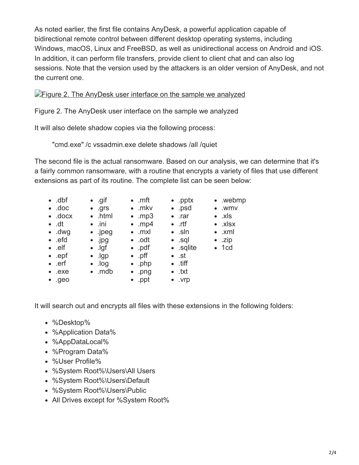As noted earlier, the first file contains AnyDesk, a powerful application capable of bidirectional remote control between different desktop operating systems, including Windows, macOS, Linux and FreeBSD, as well as unidirectional access on Android and iOS. In addition, it can perform file transfers, provide client to client chat and can also log sessions. Note that the version used by the attackers is an older version of AnyDesk, and not the current one.

### **[Figure 2. The AnyDesk user interface on the sample we analyzed](https://blog.trendmicro.com/content/dam/trendmicro/global/en/migrated/security-intelligence-migration-spreadsheet/trendlabs-security-intelligence/2018/04/AnyDesk-2.png)**

Figure 2. The AnyDesk user interface on the sample we analyzed

It will also delete shadow copies via the following process:

"cmd.exe" /c vssadmin.exe delete shadows /all /quiet

The second file is the actual ransomware. Based on our analysis, we can determine that it's a fairly common ransomware, with a routine that encrypts a variety of files that use different extensions as part of its routine. The complete list can be seen below:

| $\bullet$ .dbf<br>$\bullet$ .doc<br>$\bullet$ .docx | $\bullet$ .gif<br>$\bullet$ .grs<br>$\bullet$ .html | $\bullet$ .mft<br>$\bullet$ .mkv<br>$\bullet$ .mp3 | $\bullet$ .pptx<br>$\bullet$ .psd<br>$\bullet$ .rar | • .webmp<br>$\bullet$ .wmv<br>$\bullet$ .xls |
|-----------------------------------------------------|-----------------------------------------------------|----------------------------------------------------|-----------------------------------------------------|----------------------------------------------|
| $\bullet$ .dt                                       | $\bullet$ .ini                                      | $\bullet$ .mp4                                     | $\bullet$ .rtf                                      | $\bullet$ .xlsx                              |
| $\bullet$ .dwg                                      | $\bullet$ . jpeg                                    | $\bullet$ .mxl                                     | $\bullet$ .sln                                      | $\bullet$ .xml                               |
| $\bullet$ .efd                                      | $\bullet$ . jpg                                     | $\bullet$ .odt                                     | $\bullet$ .sql                                      | $\bullet$ .zip                               |
| $\bullet$ .elf                                      | $\bullet$ . Igf                                     | $\bullet$ .pdf                                     | • sqlite                                            | $\bullet$ 1cd                                |
| $\bullet$ .epf                                      | $\bullet$ . Igp                                     | $\bullet$ .pff                                     | $\bullet$ .st                                       |                                              |
| $\bullet$ .erf                                      | $\bullet$ . log                                     | $\bullet$ .php                                     | $\bullet$ .tiff                                     |                                              |
| $\bullet$ .exe                                      | $\bullet$ . mdb                                     | $\bullet$ .png                                     | $\bullet$ txt                                       |                                              |
| •.9e0                                               |                                                     | $\bullet$ .ppt                                     | $\bullet$ . $Vrp$                                   |                                              |

It will search out and encrypts all files with these extensions in the following folders:

- %Desktop%
- %Application Data%
- %AppDataLocal%
- %Program Data%
- %User Profile%
- %System Root%\Users\All Users
- %System Root%\Users\Default
- %System Root%\Users\Public
- All Drives except for %System Root%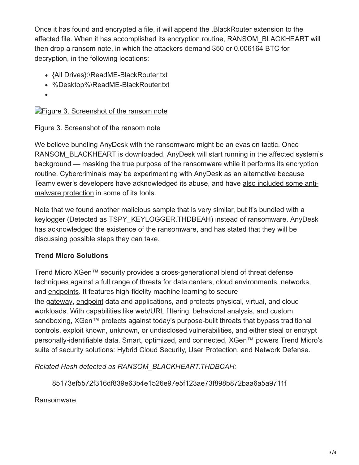Once it has found and encrypted a file, it will append the .BlackRouter extension to the affected file. When it has accomplished its encryption routine, RANSOM\_BLACKHEART will then drop a ransom note, in which the attackers demand \$50 or 0.006164 BTC for decryption, in the following locations:

- {All Drives}:\ReadME-BlackRouter.txt
- %Desktop%\ReadME-BlackRouter.txt
- 

## **[Figure 3. Screenshot of the ransom note](https://blog.trendmicro.com/content/dam/trendmicro/global/en/migrated/security-intelligence-migration-spreadsheet/trendlabs-security-intelligence/2018/04/AnyDesk-3.png)**

Figure 3. Screenshot of the ransom note

We believe bundling AnyDesk with the ransomware might be an evasion tactic. Once RANSOM\_BLACKHEART is downloaded, AnyDesk will start running in the affected system's background — masking the true purpose of the ransomware while it performs its encryption routine. Cybercriminals may be experimenting with AnyDesk as an alternative because [Teamviewer's developers have acknowledged its abuse, and have also included some anti](https://www.teamviewer.com/en/remote-management/support/news/new-active-ransomware-protection-itbrain-anti-malware/)malware protection in some of its tools.

Note that we found another malicious sample that is very similar, but it's bundled with a keylogger (Detected as TSPY\_KEYLOGGER.THDBEAH) instead of ransomware. AnyDesk has acknowledged the existence of the ransomware, and has stated that they will be discussing possible steps they can take.

### **Trend Micro Solutions**

Trend Micro XGen™ security provides a cross-generational blend of threat defense techniques against a full range of threats for [data centers,](https://blog.trendmicro.com/en_us/business/products/hybrid-cloud/deep-security-data-center.html) [cloud environments](https://blog.trendmicro.com/en_us/business/products/hybrid-cloud/deep-security-for-cloud.html), [networks](https://blog.trendmicro.com/en_us/business/products/network.html), and [endpoints](https://blog.trendmicro.com/en_us/business/products/user-protection.html). It features high-fidelity machine learning to secure the [gateway, endpoint](https://blog.trendmicro.com/en_us/business/products/user-protection/sps.html) data and applications, and protects physical, virtual, and cloud workloads. With capabilities like web/URL filtering, behavioral analysis, and custom sandboxing, XGen™ protects against today's purpose-built threats that bypass traditional controls, exploit known, unknown, or undisclosed vulnerabilities, and either steal or encrypt personally-identifiable data. Smart, optimized, and connected, XGen™ powers Trend Micro's suite of security solutions: Hybrid Cloud Security, User Protection, and Network Defense.

*Related Hash detected as RANSOM\_BLACKHEART.THDBCAH:*

85173ef5572f316df839e63b4e1526e97e5f123ae73f898b872baa6a5a9711f

Ransomware